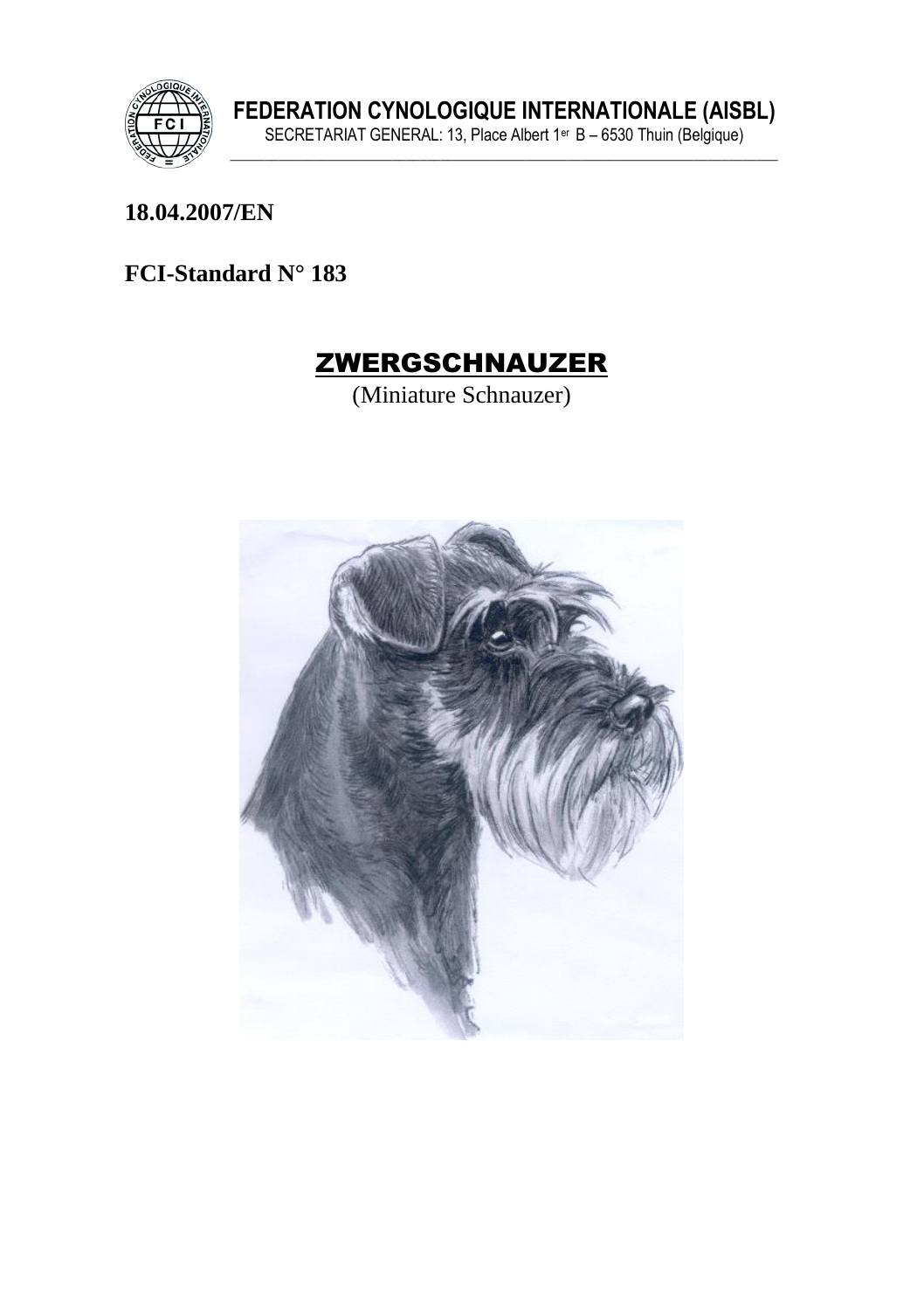

18.04.2007/EN

FCI-Standard N° 183



(Miniature Schnauzer)

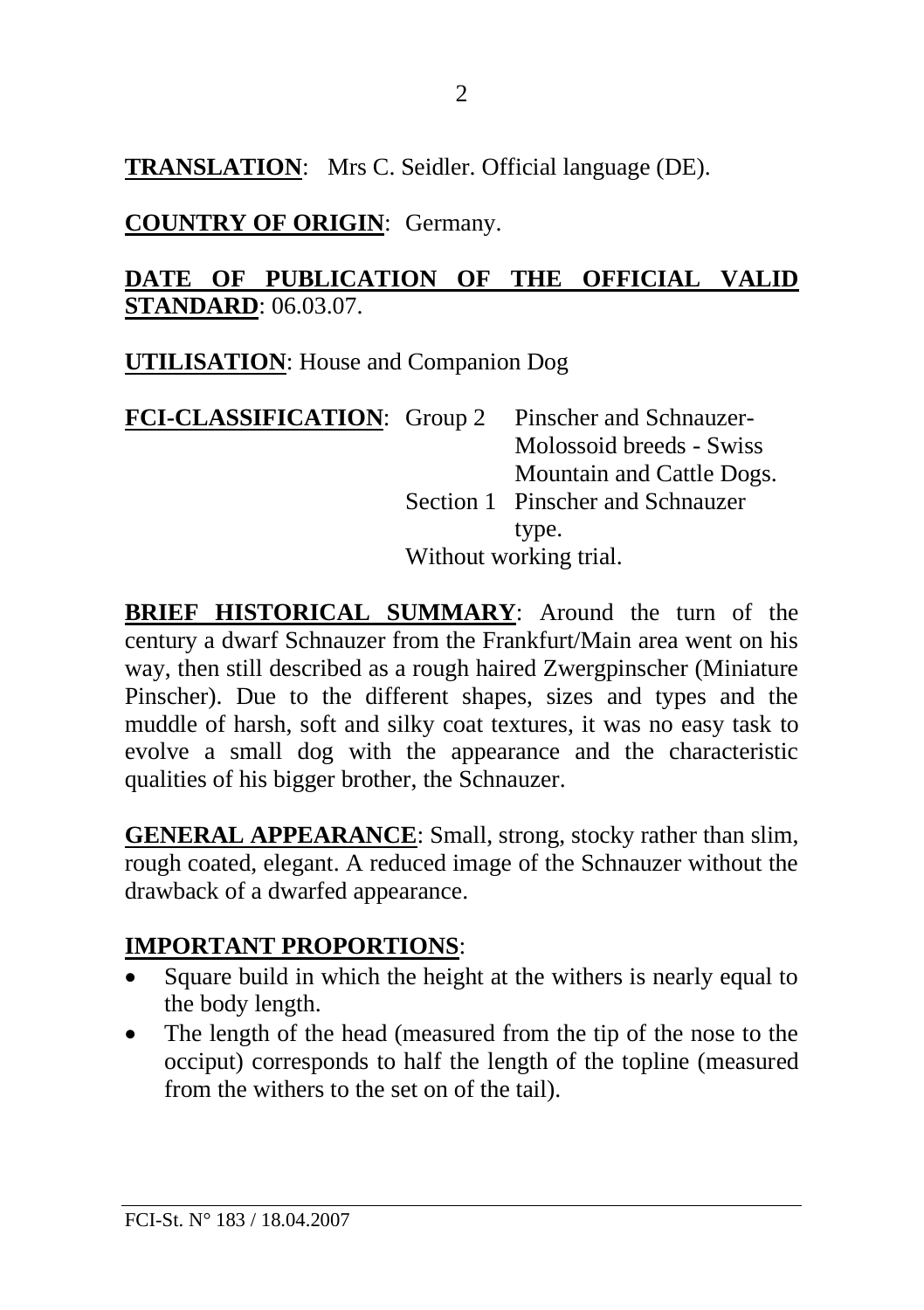**TRANSLATION**: Mrs C. Seidler. Official language (DE).

**COUNTRY OF ORIGIN**: Germany.

#### **DATE OF PUBLICATION OF THE OFFICIAL VALID STANDARD**: 06.03.07.

**UTILISATION**: House and Companion Dog

| FCI-CLASSIFICATION: Group 2 Pinscher and Schnauzer- |                        |                                  |
|-----------------------------------------------------|------------------------|----------------------------------|
|                                                     |                        | Molossoid breeds - Swiss         |
|                                                     |                        | Mountain and Cattle Dogs.        |
|                                                     |                        | Section 1 Pinscher and Schnauzer |
|                                                     |                        | type.                            |
|                                                     | Without working trial. |                                  |

**BRIEF HISTORICAL SUMMARY**: Around the turn of the century a dwarf Schnauzer from the Frankfurt/Main area went on his way, then still described as a rough haired Zwergpinscher (Miniature Pinscher). Due to the different shapes, sizes and types and the muddle of harsh, soft and silky coat textures, it was no easy task to evolve a small dog with the appearance and the characteristic qualities of his bigger brother, the Schnauzer.

**GENERAL APPEARANCE:** Small, strong, stocky rather than slim. rough coated, elegant. A reduced image of the Schnauzer without the drawback of a dwarfed appearance.

### **IMPORTANT PROPORTIONS**:

- Square build in which the height at the withers is nearly equal to the body length.
- The length of the head (measured from the tip of the nose to the occiput) corresponds to half the length of the topline (measured from the withers to the set on of the tail).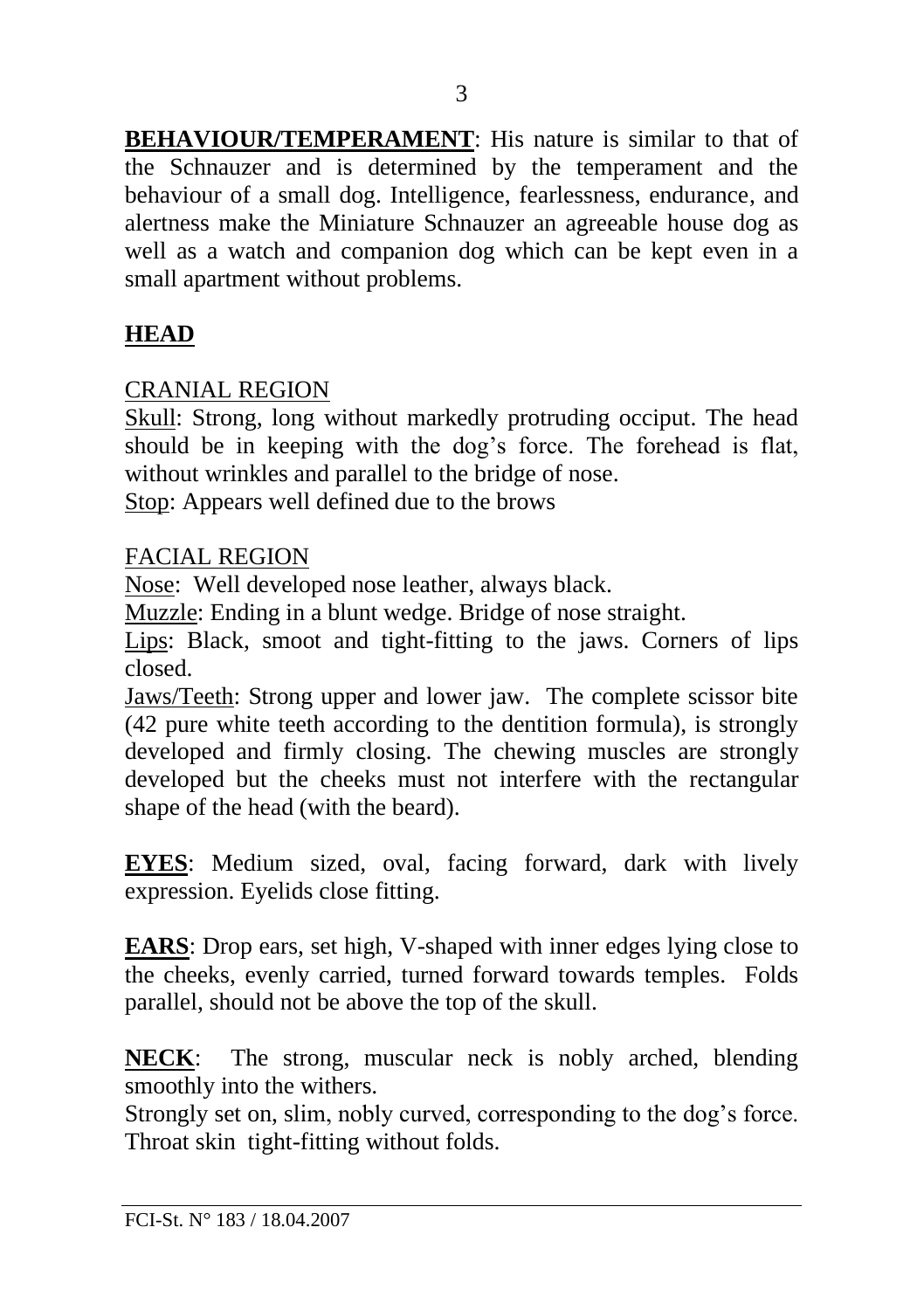**BEHAVIOUR/TEMPERAMENT**: His nature is similar to that of the Schnauzer and is determined by the temperament and the behaviour of a small dog. Intelligence, fearlessness, endurance, and alertness make the Miniature Schnauzer an agreeable house dog as well as a watch and companion dog which can be kept even in a small apartment without problems.

# **HEAD**

# CRANIAL REGION

Skull: Strong, long without markedly protruding occiput. The head should be in keeping with the dog's force. The forehead is flat, without wrinkles and parallel to the bridge of nose.

Stop: Appears well defined due to the brows

# FACIAL REGION

Nose: Well developed nose leather, always black.

Muzzle: Ending in a blunt wedge. Bridge of nose straight.

Lips: Black, smoot and tight-fitting to the jaws. Corners of lips closed.

Jaws/Teeth: Strong upper and lower jaw. The complete scissor bite (42 pure white teeth according to the dentition formula), is strongly developed and firmly closing. The chewing muscles are strongly developed but the cheeks must not interfere with the rectangular shape of the head (with the beard).

**EYES**: Medium sized, oval, facing forward, dark with lively expression. Eyelids close fitting.

**EARS**: Drop ears, set high, V-shaped with inner edges lying close to the cheeks, evenly carried, turned forward towards temples. Folds parallel, should not be above the top of the skull.

**NECK**: The strong, muscular neck is nobly arched, blending smoothly into the withers.

Strongly set on, slim, nobly curved, corresponding to the dog's force. Throat skin tight-fitting without folds.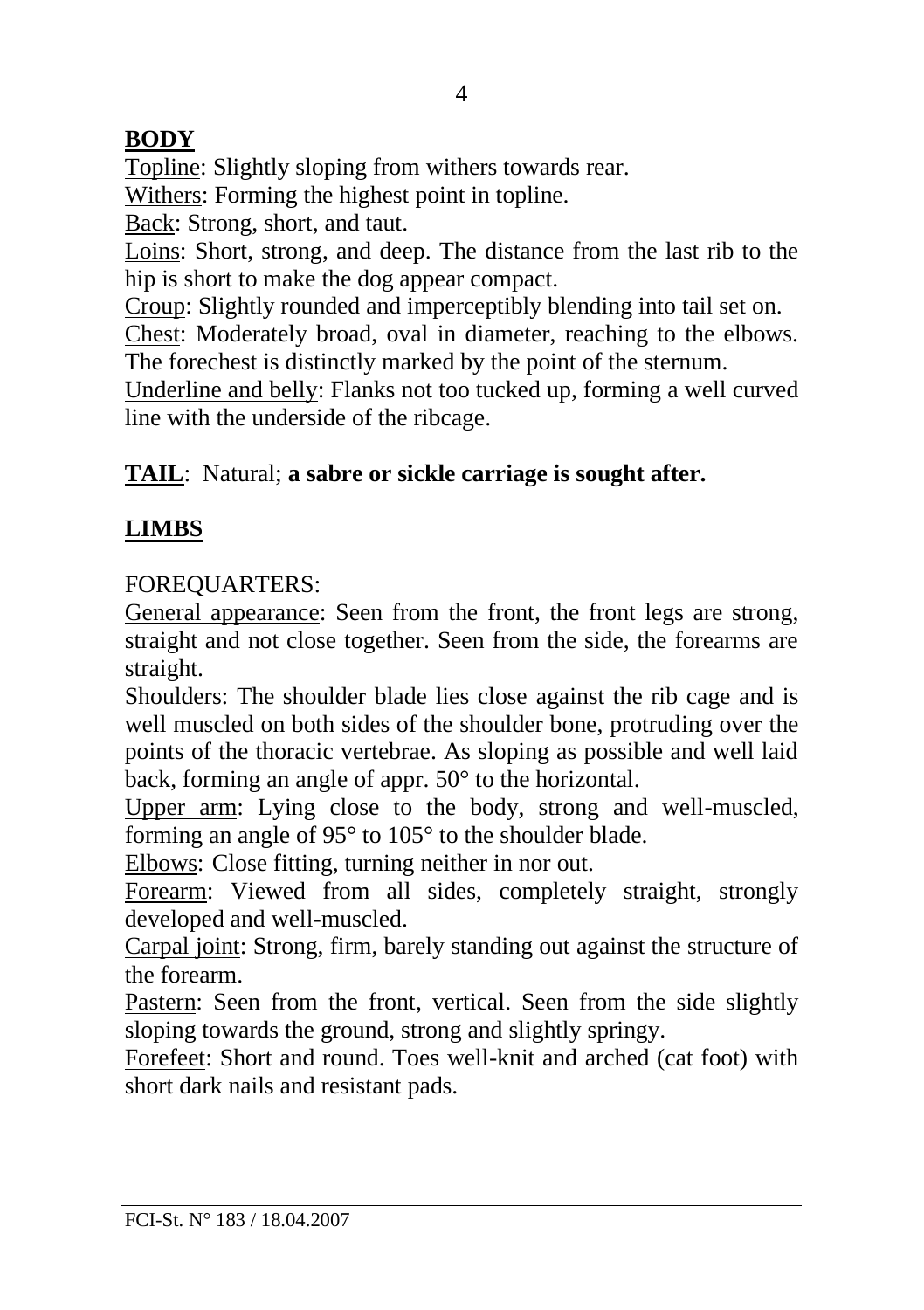# **BODY**

Topline: Slightly sloping from withers towards rear.

Withers: Forming the highest point in topline.

Back: Strong, short, and taut.

Loins: Short, strong, and deep. The distance from the last rib to the hip is short to make the dog appear compact.

Croup: Slightly rounded and imperceptibly blending into tail set on.

Chest: Moderately broad, oval in diameter, reaching to the elbows. The forechest is distinctly marked by the point of the sternum.

Underline and belly: Flanks not too tucked up, forming a well curved line with the underside of the ribcage.

# **TAIL**: Natural; **a sabre or sickle carriage is sought after.**

# **LIMBS**

# FOREQUARTERS:

General appearance: Seen from the front, the front legs are strong, straight and not close together. Seen from the side, the forearms are straight.

Shoulders: The shoulder blade lies close against the rib cage and is well muscled on both sides of the shoulder bone, protruding over the points of the thoracic vertebrae. As sloping as possible and well laid back, forming an angle of appr. 50° to the horizontal.

Upper arm: Lying close to the body, strong and well-muscled, forming an angle of 95° to 105° to the shoulder blade.

Elbows: Close fitting, turning neither in nor out.

Forearm: Viewed from all sides, completely straight, strongly developed and well-muscled.

Carpal joint: Strong, firm, barely standing out against the structure of the forearm.

Pastern: Seen from the front, vertical. Seen from the side slightly sloping towards the ground, strong and slightly springy.

Forefeet: Short and round. Toes well-knit and arched (cat foot) with short dark nails and resistant pads.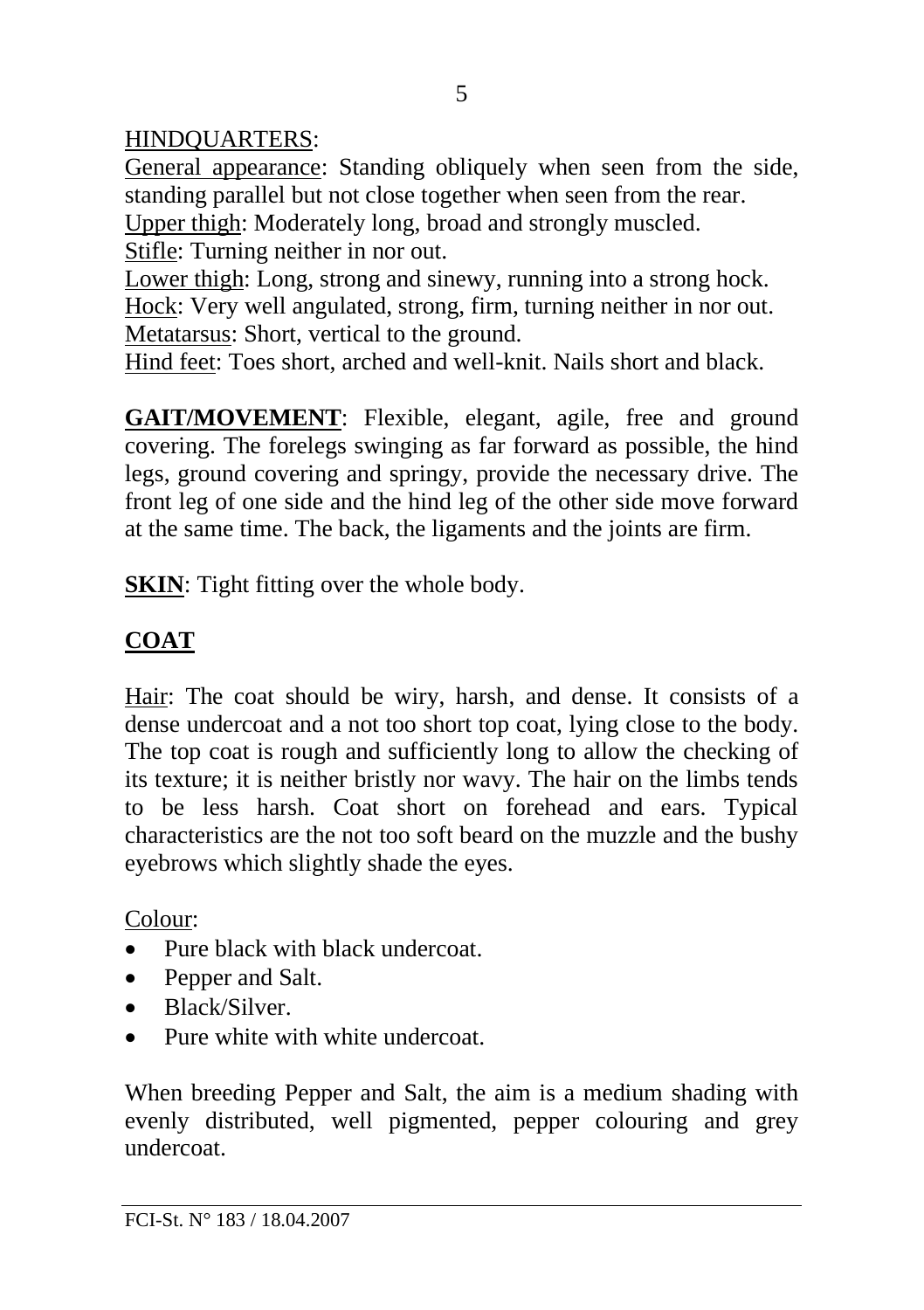### HINDQUARTERS:

General appearance: Standing obliquely when seen from the side, standing parallel but not close together when seen from the rear. Upper thigh: Moderately long, broad and strongly muscled.

Stifle: Turning neither in nor out.

Lower thigh: Long, strong and sinewy, running into a strong hock. Hock: Very well angulated, strong, firm, turning neither in nor out. Metatarsus: Short, vertical to the ground.

Hind feet: Toes short, arched and well-knit. Nails short and black.

**GAIT/MOVEMENT**: Flexible, elegant, agile, free and ground covering. The forelegs swinging as far forward as possible, the hind legs, ground covering and springy, provide the necessary drive. The front leg of one side and the hind leg of the other side move forward at the same time. The back, the ligaments and the joints are firm.

**SKIN**: Tight fitting over the whole body.

### **COAT**

Hair: The coat should be wiry, harsh, and dense. It consists of a dense undercoat and a not too short top coat, lying close to the body. The top coat is rough and sufficiently long to allow the checking of its texture; it is neither bristly nor wavy. The hair on the limbs tends to be less harsh. Coat short on forehead and ears. Typical characteristics are the not too soft beard on the muzzle and the bushy eyebrows which slightly shade the eyes.

Colour:

- Pure black with black undercoat.
- Pepper and Salt.
- Black/Silver.
- Pure white with white undercoat

When breeding Pepper and Salt, the aim is a medium shading with evenly distributed, well pigmented, pepper colouring and grey undercoat.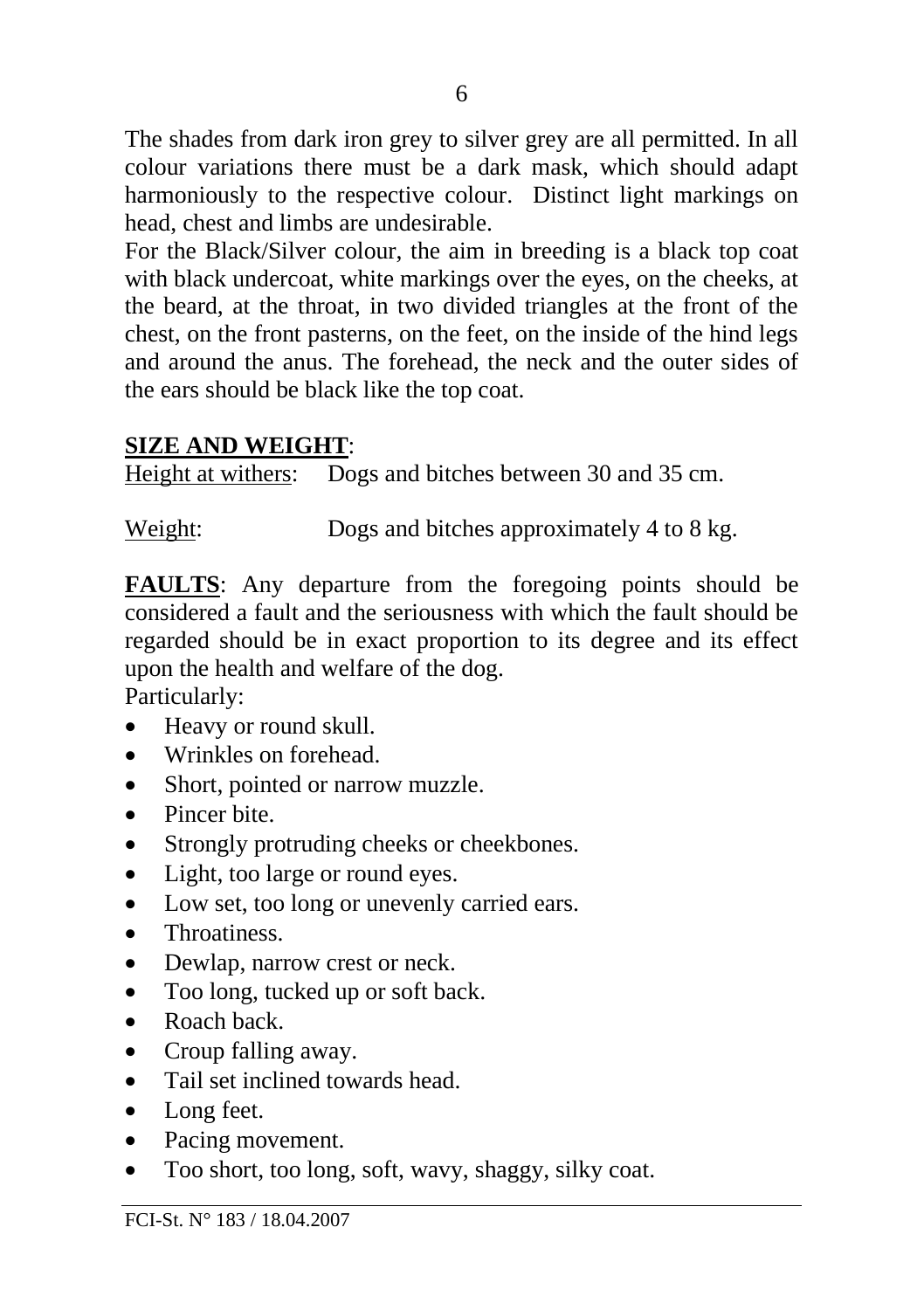The shades from dark iron grey to silver grey are all permitted. In all colour variations there must be a dark mask, which should adapt harmoniously to the respective colour. Distinct light markings on head, chest and limbs are undesirable.

For the Black/Silver colour, the aim in breeding is a black top coat with black undercoat, white markings over the eyes, on the cheeks, at the beard, at the throat, in two divided triangles at the front of the chest, on the front pasterns, on the feet, on the inside of the hind legs and around the anus. The forehead, the neck and the outer sides of the ears should be black like the top coat.

#### **SIZE AND WEIGHT**:

Height at withers: Dogs and bitches between 30 and 35 cm.

Weight: Dogs and bitches approximately 4 to 8 kg.

**FAULTS**: Any departure from the foregoing points should be considered a fault and the seriousness with which the fault should be regarded should be in exact proportion to its degree and its effect upon the health and welfare of the dog.

Particularly:

- Heavy or round skull.
- Wrinkles on forehead.
- Short, pointed or narrow muzzle.
- Pincer bite.
- Strongly protruding cheeks or cheekbones.
- Light, too large or round eyes.
- Low set, too long or unevenly carried ears.
- Throatiness.
- Dewlap, narrow crest or neck.
- Too long, tucked up or soft back.
- Roach back
- Croup falling away.
- Tail set inclined towards head.
- Long feet.
- Pacing movement.
- Too short, too long, soft, wavy, shaggy, silky coat.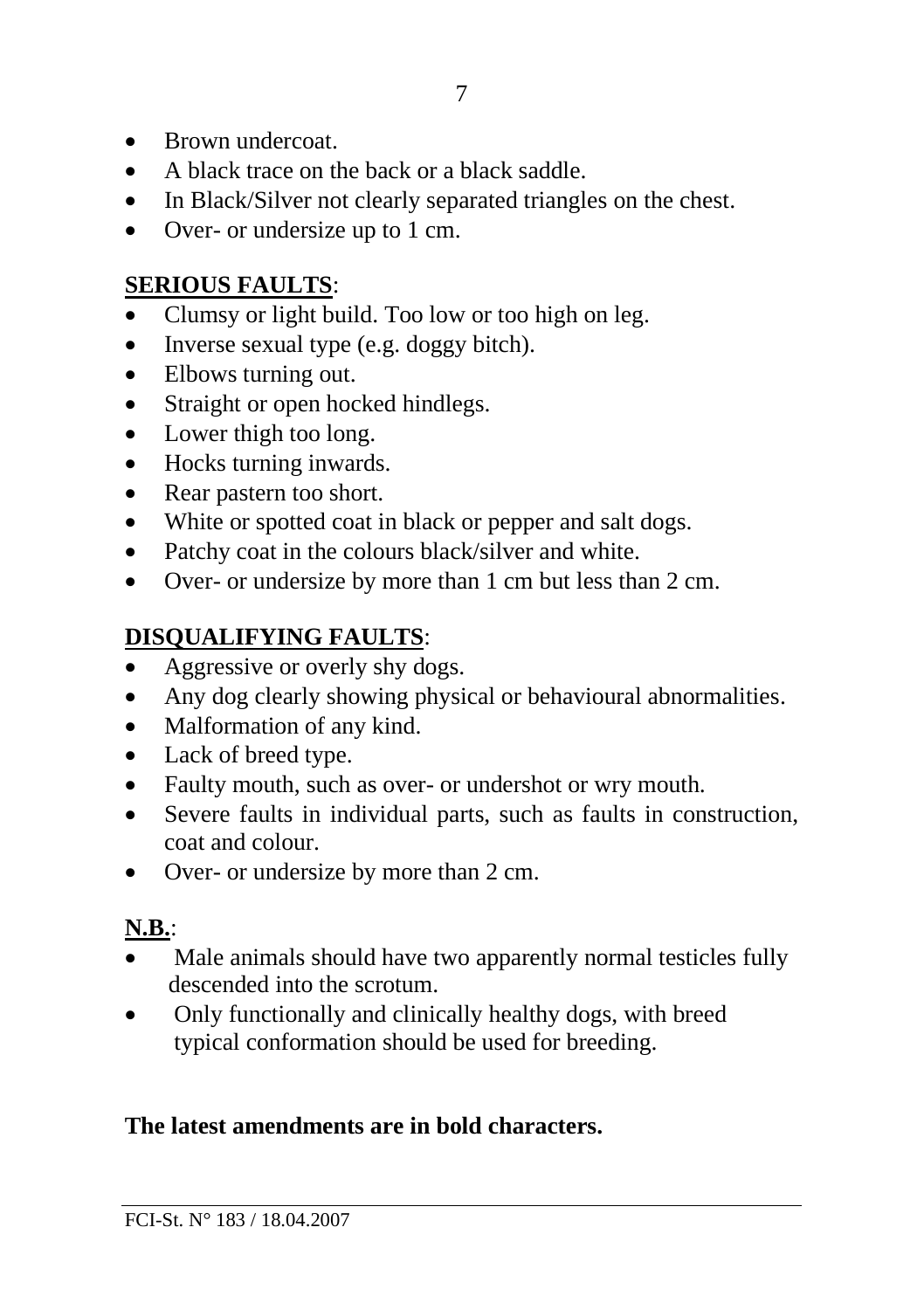- Brown undercoat
- A black trace on the back or a black saddle
- In Black/Silver not clearly separated triangles on the chest.
- Over- or undersize up to 1 cm.

### **SERIOUS FAULTS**:

- Clumsy or light build. Too low or too high on leg.
- Inverse sexual type (e.g. doggy bitch).
- Elbows turning out.
- Straight or open hocked hindlegs.
- Lower thigh too long.
- Hocks turning inwards.
- Rear pastern too short.
- White or spotted coat in black or pepper and salt dogs.
- Patchy coat in the colours black/silver and white.
- Over- or undersize by more than 1 cm but less than 2 cm.

# **DISQUALIFYING FAULTS**:

- Aggressive or overly shy dogs.
- Any dog clearly showing physical or behavioural abnormalities.
- Malformation of any kind.
- Lack of breed type.
- Faulty mouth, such as over- or undershot or wry mouth.
- Severe faults in individual parts, such as faults in construction, coat and colour.
- Over- or undersize by more than 2 cm.

# **N.B.**:

- Male animals should have two apparently normal testicles fully descended into the scrotum.
- Only functionally and clinically healthy dogs, with breed typical conformation should be used for breeding.

# **The latest amendments are in bold characters.**